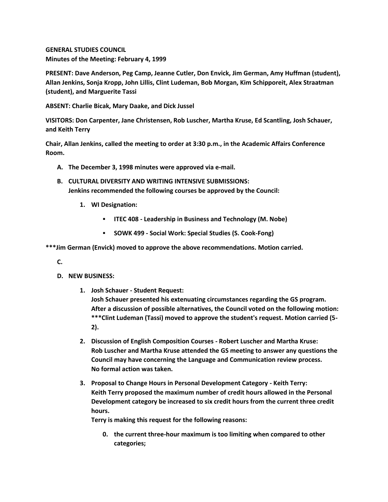**GENERAL STUDIES COUNCIL Minutes of the Meeting: February 4, 1999**

**PRESENT: Dave Anderson, Peg Camp, Jeanne Cutler, Don Envick, Jim German, Amy Huffman (student), Allan Jenkins, Sonja Kropp, John Lillis, Clint Ludeman, Bob Morgan, Kim Schipporeit, Alex Straatman (student), and Marguerite Tassi**

**ABSENT: Charlie Bicak, Mary Daake, and Dick Jussel**

**VISITORS: Don Carpenter, Jane Christensen, Rob Luscher, Martha Kruse, Ed Scantling, Josh Schauer, and Keith Terry**

**Chair, Allan Jenkins, called the meeting to order at 3:30 p.m., in the Academic Affairs Conference Room.**

- **A. The December 3, 1998 minutes were approved via e-mail.**
- **B. CULTURAL DIVERSITY AND WRITING INTENSIVE SUBMISSIONS: Jenkins recommended the following courses be approved by the Council:** 
	- **1. WI Designation:**
		- **ITEC 408 - Leadership in Business and Technology (M. Nobe)**
		- **SOWK 499 - Social Work: Special Studies (S. Cook-Fong)**

**\*\*\*Jim German (Envick) moved to approve the above recommendations. Motion carried.**

**C.**

- **D. NEW BUSINESS:**
	- **1. Josh Schauer - Student Request: Josh Schauer presented his extenuating circumstances regarding the GS program. After a discussion of possible alternatives, the Council voted on the following motion: \*\*\*Clint Ludeman (Tassi) moved to approve the student's request. Motion carried (5- 2).**
	- **2. Discussion of English Composition Courses - Robert Luscher and Martha Kruse: Rob Luscher and Martha Kruse attended the GS meeting to answer any questions the Council may have concerning the Language and Communication review process. No formal action was taken.**
	- **3. Proposal to Change Hours in Personal Development Category - Keith Terry: Keith Terry proposed the maximum number of credit hours allowed in the Personal Development category be increased to six credit hours from the current three credit hours.**

**Terry is making this request for the following reasons:** 

**0. the current three-hour maximum is too limiting when compared to other categories;**